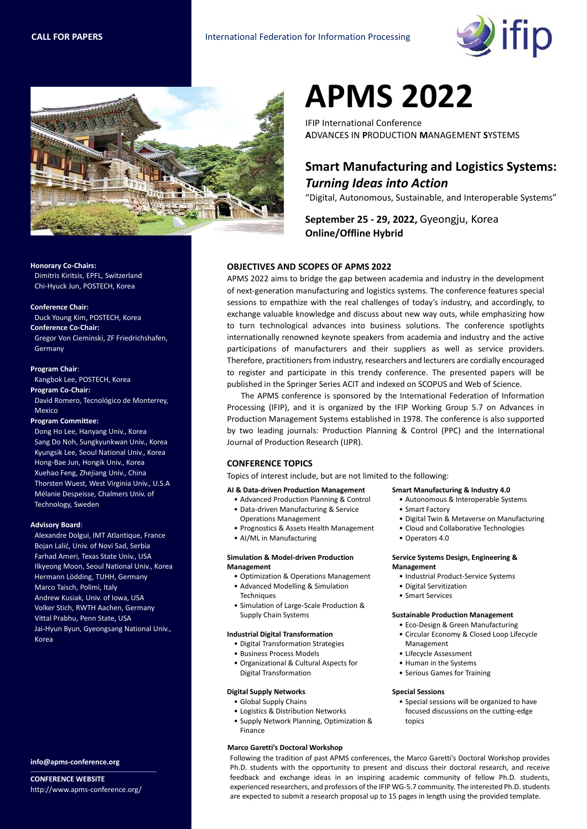



# **APMS 2022**

IFIP International Conference **A**DVANCES IN **P**RODUCTION **M**ANAGEMENT **S**YSTEMS

# **Smart Manufacturing and Logistics Systems:**  *Turning Ideas into Action*

"Digital, Autonomous, Sustainable, and Interoperable Systems"

**September 25 - 29, 2022,** Gyeongju, Korea **Online/Offline Hybrid**

# **OBJECTIVES AND SCOPES OF APMS 2022**

APMS 2022 aims to bridge the gap between academia and industry in the development of next-generation manufacturing and logistics systems. The conference features special sessions to empathize with the real challenges of today's industry, and accordingly, to exchange valuable knowledge and discuss about new way outs, while emphasizing how to turn technological advances into business solutions. The conference spotlights internationally renowned keynote speakers from academia and industry and the active participations of manufacturers and their suppliers as well as service providers. Therefore, practitioners from industry, researchers and lecturers are cordially encouraged to register and participate in this trendy conference. The presented papers will be published in the Springer Series ACIT and indexed on SCOPUS and Web of Science.

The APMS conference is sponsored by the International Federation of Information Processing (IFIP), and it is organized by the IFIP Working Group 5.7 on Advances in Production Management Systems established in 1978. The conference is also supported by two leading journals: Production Planning & Control (PPC) and the International Journal of Production Research (IJPR).

## **CONFERENCE TOPICS**

Topics of interest include, but are not limited to the following:

### **AI & Data-driven Production Management**

- Advanced Production Planning & Control • Data-driven Manufacturing & Service
- Operations Management
- Prognostics & Assets Health Management
- AI/ML in Manufacturing

#### **Simulation & Model-driven Production Management**

- Optimization & Operations Management • Advanced Modelling & Simulation
- **Techniques** • Simulation of Large-Scale Production &
- Supply Chain Systems

#### **Industrial Digital Transformation**

- Digital Transformation Strategies
- Business Process Models
- Organizational & Cultural Aspects for Digital Transformation

#### **Digital Supply Networks**

- Global Supply Chains
- Logistics & Distribution Networks
- Supply Network Planning, Optimization & Finance

### **Marco Garetti's Doctoral Workshop**

#### **Smart Manufacturing & Industry 4.0**

- Autonomous & Interoperable Systems
- Smart Factory
	- Digital Twin & Metaverse on Manufacturing
	- Cloud and Collaborative Technologies
- Operators 4.0

#### **Service Systems Design, Engineering & Management**

- Industrial Product-Service Systems
- Digital Servitization
- Smart Services

#### **Sustainable Production Management**

- Eco-Design & Green Manufacturing
- Circular Economy & Closed Loop Lifecycle Management
- Lifecycle Assessment
- Human in the Systems
- Serious Games for Training

#### **Special Sessions**

• Special sessions will be organized to have focused discussions on the cutting-edge topics

Following the tradition of past APMS conferences, the Marco Garetti's Doctoral Workshop provides Ph.D. students with the opportunity to present and discuss their doctoral research, and receive feedback and exchange ideas in an inspiring academic community of fellow Ph.D. students, experienced researchers, and professors of the IFIP WG-5.7 community. The interested Ph.D. students are expected to submit a research proposal up to 15 pages in length using the provided template.

**Honorary Co-Chairs:** 

Dimitris Kiritsis, EPFL, Switzerland Chi-Hyuck Jun, POSTECH, Korea

#### **Conference Chair:**

Duck Young Kim, POSTECH, Korea **Conference Co-Chair:** Gregor Von Cieminski, ZF Friedrichshafen,

**Program Chair**:

Germany

Kangbok Lee, POSTECH, Korea **Program Co-Chair:**

David Romero, Tecnológico de Monterrey, Mexico

#### **Program Committee:**

Dong Ho Lee, Hanyang Univ., Korea Sang Do Noh, Sungkyunkwan Univ., Korea Kyungsik Lee, Seoul National Univ., Korea Hong-Bae Jun, Hongik Univ., Korea Xuehao Feng, Zhejiang Univ., China Thorsten Wuest, West Virginia Univ., U.S.A Mélanie Despeisse, Chalmers Univ. of Technology, Sweden

#### **Advisory Board**:

Alexandre Dolgui, IMT Atlantique, France Bojan Lalić, Univ. of Novi Sad, Serbia Farhad Ameri, Texas State Univ., USA Ilkyeong Moon, Seoul National Univ., Korea Hermann Lödding, TUHH, Germany Marco Taisch, Polimi, Italy Andrew Kusiak, Univ. of Iowa, USA Volker Stich, RWTH Aachen, Germany Vittal Prabhu, Penn State, USA Jai-Hyun Byun, Gyeongsang National Univ., Korea

**info@apms-conference.org**

**CONFERENCE WEBSITE** http://www.apms-conference.org/